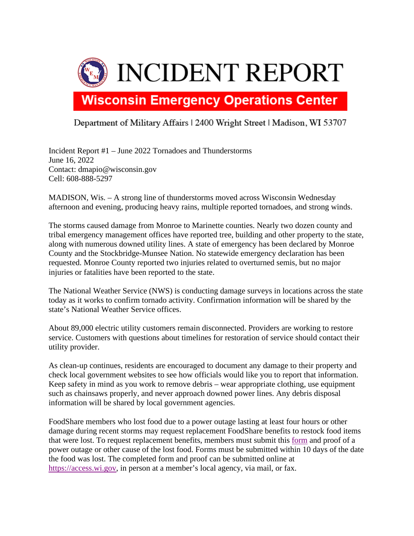

## Department of Military Affairs | 2400 Wright Street | Madison, WI 53707

Incident Report #1 – June 2022 Tornadoes and Thunderstorms June 16, 2022 Contact: dmapio@wisconsin.gov Cell: 608-888-5297

MADISON, Wis. – A strong line of thunderstorms moved across Wisconsin Wednesday afternoon and evening, producing heavy rains, multiple reported tornadoes, and strong winds.

The storms caused damage from Monroe to Marinette counties. Nearly two dozen county and tribal emergency management offices have reported tree, building and other property to the state, along with numerous downed utility lines. A state of emergency has been declared by Monroe County and the Stockbridge-Munsee Nation. No statewide emergency declaration has been requested. Monroe County reported two injuries related to overturned semis, but no major injuries or fatalities have been reported to the state.

The National Weather Service (NWS) is conducting damage surveys in locations across the state today as it works to confirm tornado activity. Confirmation information will be shared by the state's National Weather Service offices.

About 89,000 electric utility customers remain disconnected. Providers are working to restore service. Customers with questions about timelines for restoration of service should contact their utility provider.

As clean-up continues, residents are encouraged to document any damage to their property and check local government websites to see how officials would like you to report that information. Keep safety in mind as you work to remove debris – wear appropriate clothing, use equipment such as chainsaws properly, and never approach downed power lines. Any debris disposal information will be shared by local government agencies.

FoodShare members who lost food due to a power outage lasting at least four hours or other damage during recent storms may request replacement FoodShare benefits to restock food items that were lost. To request replacement benefits, members must submit this [form](https://www.dhs.wisconsin.gov/forms/f0/f00330.pdf) and proof of a power outage or other cause of the lost food. Forms must be submitted within 10 days of the date the food was lost. The completed form and proof can be submitted online at [https://access.wi.gov,](https://access.wi.gov/) in person at a member's local agency, via mail, or fax.